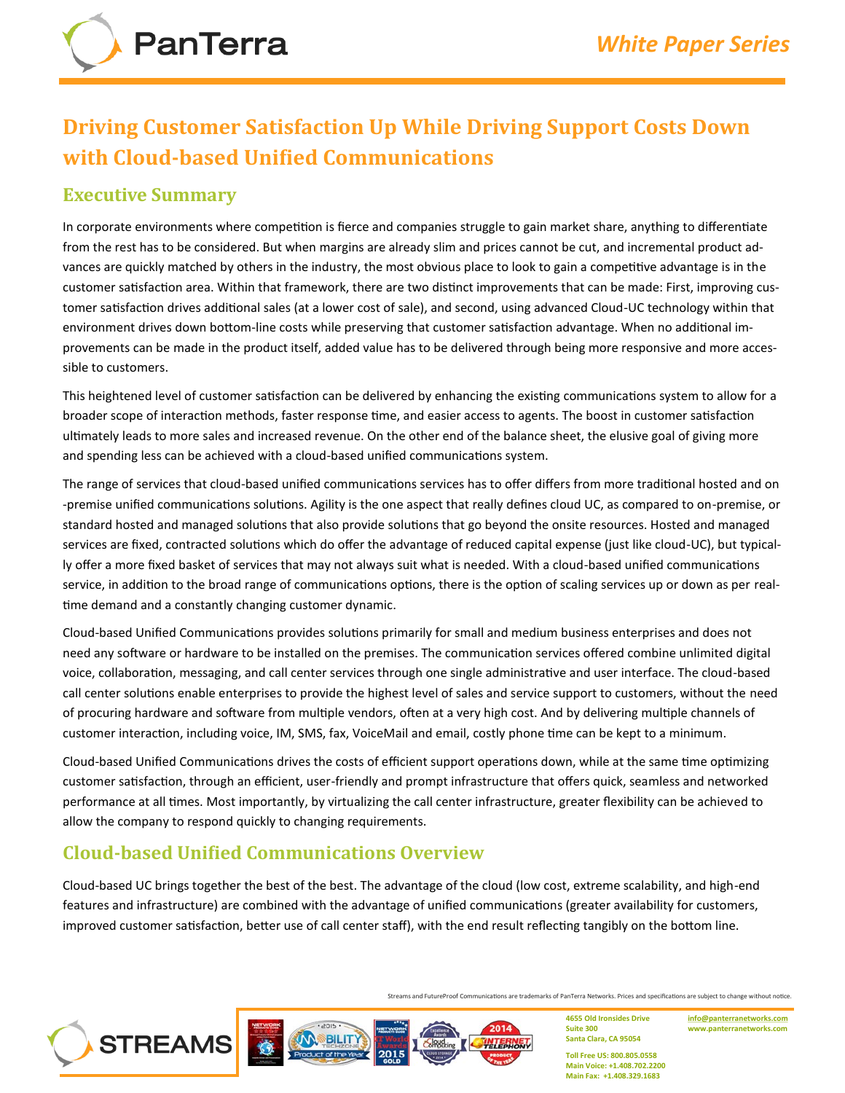# **Driving Customer Satisfaction Up While Driving Support Costs Down with Cloud‐based Unified Communications**

## **Executive Summary**

In corporate environments where competition is fierce and companies struggle to gain market share, anything to differentiate from the rest has to be considered. But when margins are already slim and prices cannot be cut, and incremental product advances are quickly matched by others in the industry, the most obvious place to look to gain a competitive advantage is in the customer satisfaction area. Within that framework, there are two distinct improvements that can be made: First, improving customer satisfaction drives additional sales (at a lower cost of sale), and second, using advanced Cloud‐UC technology within that environment drives down bottom-line costs while preserving that customer satisfaction advantage. When no additional improvements can be made in the product itself, added value has to be delivered through being more responsive and more accessible to customers.

This heightened level of customer satisfaction can be delivered by enhancing the existing communications system to allow for a broader scope of interaction methods, faster response time, and easier access to agents. The boost in customer satisfaction ultimately leads to more sales and increased revenue. On the other end of the balance sheet, the elusive goal of giving more and spending less can be achieved with a cloud‐based unified communications system.

The range of services that cloud‐based unified communications services has to offer differs from more traditional hosted and on ‐premise unified communications solutions. Agility is the one aspect that really defines cloud UC, as compared to on‐premise, or standard hosted and managed solutions that also provide solutions that go beyond the onsite resources. Hosted and managed services are fixed, contracted solutions which do offer the advantage of reduced capital expense (just like cloud‐UC), but typically offer a more fixed basket of services that may not always suit what is needed. With a cloud‐based unified communications service, in addition to the broad range of communications options, there is the option of scaling services up or down as per realtime demand and a constantly changing customer dynamic.

Cloud‐based Unified Communications provides solutions primarily for small and medium business enterprises and does not need any software or hardware to be installed on the premises. The communication services offered combine unlimited digital voice, collaboration, messaging, and call center services through one single administrative and user interface. The cloud‐based call center solutions enable enterprises to provide the highest level of sales and service support to customers, without the need of procuring hardware and software from multiple vendors, often at a very high cost. And by delivering multiple channels of customer interaction, including voice, IM, SMS, fax, VoiceMail and email, costly phone time can be kept to a minimum.

Cloud‐based Unified Communications drives the costs of efficient support operations down, while at the same time optimizing customer satisfaction, through an efficient, user‐friendly and prompt infrastructure that offers quick, seamless and networked performance at all times. Most importantly, by virtualizing the call center infrastructure, greater flexibility can be achieved to allow the company to respond quickly to changing requirements.

# **Cloud‐based Unified Communications Overview**

**STREAMS** 

Cloud‐based UC brings together the best of the best. The advantage of the cloud (low cost, extreme scalability, and high‐end features and infrastructure) are combined with the advantage of unified communications (greater availability for customers, improved customer satisfaction, better use of call center staff), with the end result reflecting tangibly on the bottom line.

Streams and FutureProof Communications are trademarks of PanTerra Networks. Prices and specifications are subject to change without notice.

2014 BILITY

**4655 Old Ironsides Drive Suite 300 Santa Clara, CA 95054**

**[info@panterranetworks.com](mailto:info@panterranetworks.com) www.panterranetworks.com**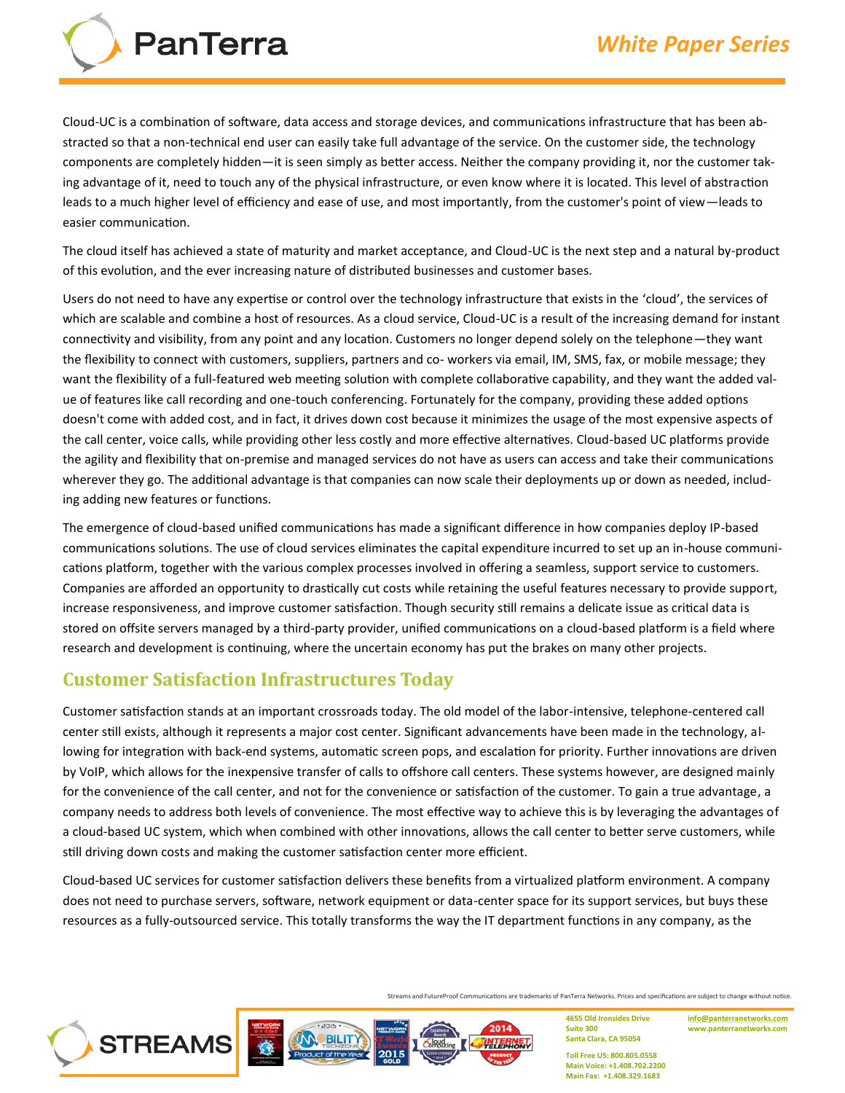Cloud‐UC is a combination of software, data access and storage devices, and communications infrastructure that has been abstracted so that a non‐technical end user can easily take full advantage of the service. On the customer side, the technology components are completely hidden—it is seen simply as better access. Neither the company providing it, nor the customer taking advantage of it, need to touch any of the physical infrastructure, or even know where it is located. This level of abstraction leads to a much higher level of efficiency and ease of use, and most importantly, from the customer's point of view—leads to easier communication.

The cloud itself has achieved a state of maturity and market acceptance, and Cloud‐UC is the next step and a natural by‐product of this evolution, and the ever increasing nature of distributed businesses and customer bases.

Users do not need to have any expertise or control over the technology infrastructure that exists in the 'cloud', the services of which are scalable and combine a host of resources. As a cloud service, Cloud-UC is a result of the increasing demand for instant connectivity and visibility, from any point and any location. Customers no longer depend solely on the telephone—they want the flexibility to connect with customers, suppliers, partners and co‐ workers via email, IM, SMS, fax, or mobile message; they want the flexibility of a full‐featured web meeting solution with complete collaborative capability, and they want the added value of features like call recording and one‐touch conferencing. Fortunately for the company, providing these added options doesn't come with added cost, and in fact, it drives down cost because it minimizes the usage of the most expensive aspects of the call center, voice calls, while providing other less costly and more effective alternatives. Cloud‐based UC platforms provide the agility and flexibility that on‐premise and managed services do not have as users can access and take their communications wherever they go. The additional advantage is that companies can now scale their deployments up or down as needed, including adding new features or functions.

The emergence of cloud‐based unified communications has made a significant difference in how companies deploy IP‐based communications solutions. The use of cloud services eliminates the capital expenditure incurred to set up an in-house communications platform, together with the various complex processes involved in offering a seamless, support service to customers. Companies are afforded an opportunity to drastically cut costs while retaining the useful features necessary to provide support, increase responsiveness, and improve customer satisfaction. Though security still remains a delicate issue as critical data is stored on offsite servers managed by a third‐party provider, unified communications on a cloud‐based platform is a field where research and development is continuing, where the uncertain economy has put the brakes on many other projects.

#### **Customer Satisfaction Infrastructures Today**

**PanTerra** 

Customer satisfaction stands at an important crossroads today. The old model of the labor‐intensive, telephone‐centered call center still exists, although it represents a major cost center. Significant advancements have been made in the technology, allowing for integration with back‐end systems, automatic screen pops, and escalation for priority. Further innovations are driven by VoIP, which allows for the inexpensive transfer of calls to offshore call centers. These systems however, are designed mainly for the convenience of the call center, and not for the convenience or satisfaction of the customer. To gain a true advantage, a company needs to address both levels of convenience. The most effective way to achieve this is by leveraging the advantages of a cloud‐based UC system, which when combined with other innovations, allows the call center to better serve customers, while still driving down costs and making the customer satisfaction center more efficient.

Cloud‐based UC services for customer satisfaction delivers these benefits from a virtualized platform environment. A company does not need to purchase servers, software, network equipment or data-center space for its support services, but buys these resources as a fully‐outsourced service. This totally transforms the way the IT department functions in any company, as the

Streams and FutureProof Communications are trademarks of PanTerra Networks. Prices and specifications are subject to change without notice.



**4655 Old Ironsides Drive Suite 300 Santa Clara, CA 95054**

**[info@panterranetworks.com](mailto:info@panterranetworks.com) www.panterranetworks.com**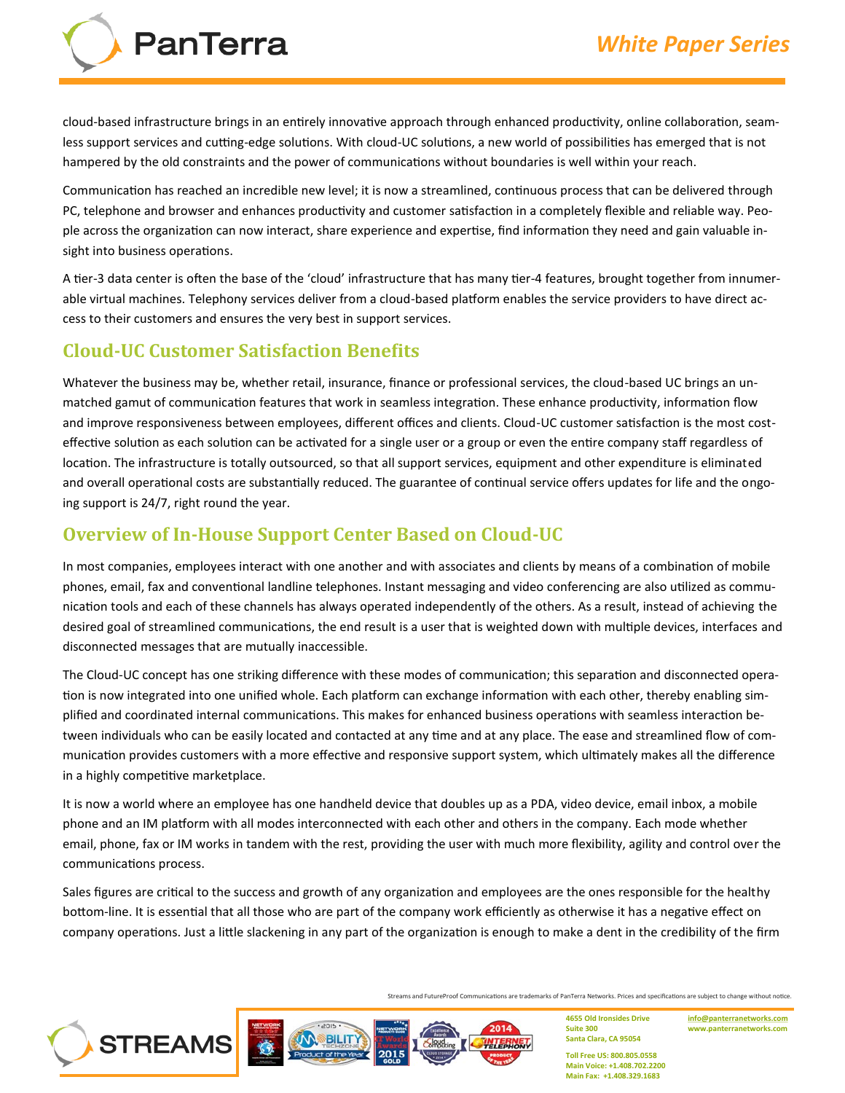PanTerra

cloud‐based infrastructure brings in an entirely innovative approach through enhanced productivity, online collaboration, seamless support services and cutting‐edge solutions. With cloud‐UC solutions, a new world of possibilities has emerged that is not hampered by the old constraints and the power of communications without boundaries is well within your reach.

Communication has reached an incredible new level; it is now a streamlined, continuous process that can be delivered through PC, telephone and browser and enhances productivity and customer satisfaction in a completely flexible and reliable way. People across the organization can now interact, share experience and expertise, find information they need and gain valuable insight into business operations.

A tier‐3 data center is often the base of the 'cloud' infrastructure that has many tier‐4 features, brought together from innumerable virtual machines. Telephony services deliver from a cloud‐based platform enables the service providers to have direct access to their customers and ensures the very best in support services.

# **Cloud‐UC Customer Satisfaction Benefits**

Whatever the business may be, whether retail, insurance, finance or professional services, the cloud-based UC brings an unmatched gamut of communication features that work in seamless integration. These enhance productivity, information flow and improve responsiveness between employees, different offices and clients. Cloud-UC customer satisfaction is the most costeffective solution as each solution can be activated for a single user or a group or even the entire company staff regardless of location. The infrastructure is totally outsourced, so that all support services, equipment and other expenditure is eliminated and overall operational costs are substantially reduced. The guarantee of continual service offers updates for life and the ongoing support is 24/7, right round the year.

## **Overview of In‐House Support Center Based on Cloud‐UC**

In most companies, employees interact with one another and with associates and clients by means of a combination of mobile phones, email, fax and conventional landline telephones. Instant messaging and video conferencing are also utilized as communication tools and each of these channels has always operated independently of the others. As a result, instead of achieving the desired goal of streamlined communications, the end result is a user that is weighted down with multiple devices, interfaces and disconnected messages that are mutually inaccessible.

The Cloud‐UC concept has one striking difference with these modes of communication; this separation and disconnected operation is now integrated into one unified whole. Each platform can exchange information with each other, thereby enabling simplified and coordinated internal communications. This makes for enhanced business operations with seamless interaction between individuals who can be easily located and contacted at any time and at any place. The ease and streamlined flow of communication provides customers with a more effective and responsive support system, which ultimately makes all the difference in a highly competitive marketplace.

It is now a world where an employee has one handheld device that doubles up as a PDA, video device, email inbox, a mobile phone and an IM platform with all modes interconnected with each other and others in the company. Each mode whether email, phone, fax or IM works in tandem with the rest, providing the user with much more flexibility, agility and control over the communications process.

Sales figures are critical to the success and growth of any organization and employees are the ones responsible for the healthy bottom‐line. It is essential that all those who are part of the company work efficiently as otherwise it has a negative effect on company operations. Just a little slackening in any part of the organization is enough to make a dent in the credibility of the firm

Streams and FutureProof Communications are trademarks of PanTerra Networks. Prices and specifications are subject to change without notice.





**4655 Old Ironsides Drive Suite 300 Santa Clara, CA 95054**

**[info@panterranetworks.com](mailto:info@panterranetworks.com) www.panterranetworks.com**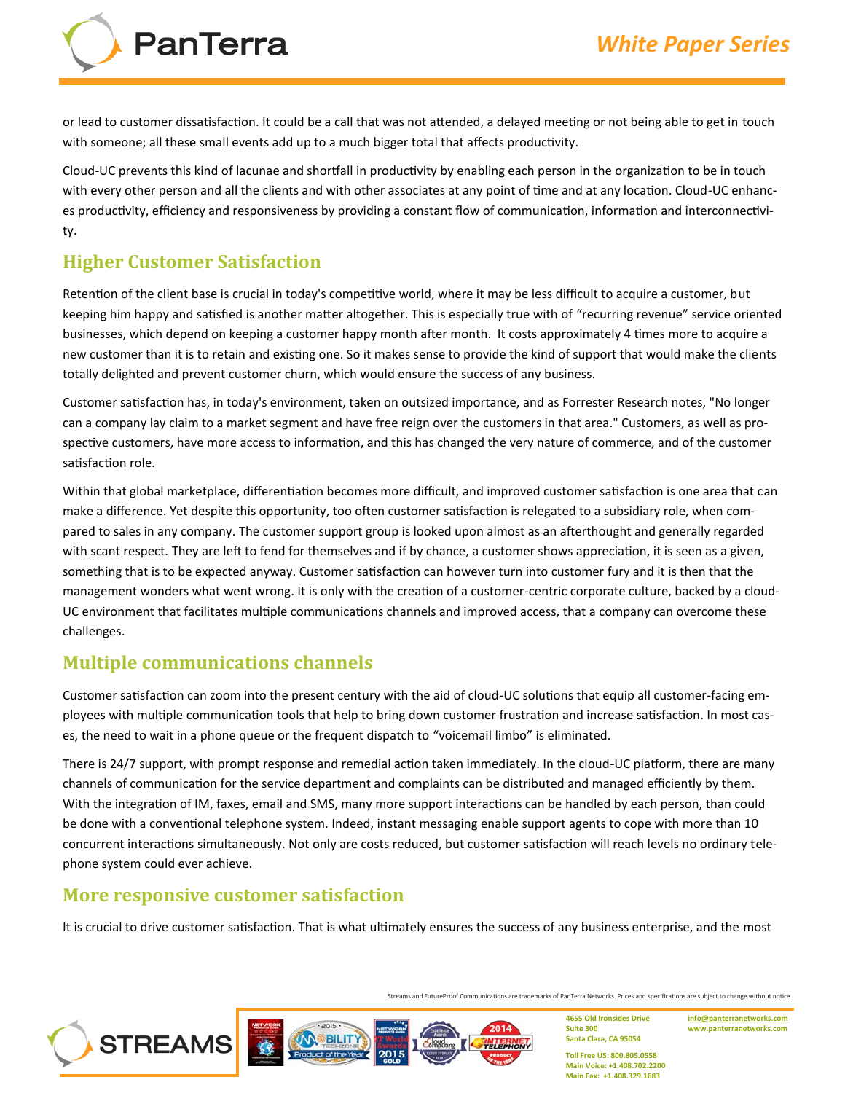**PanTerra** 

or lead to customer dissatisfaction. It could be a call that was not attended, a delayed meeting or not being able to get in touch with someone; all these small events add up to a much bigger total that affects productivity.

Cloud‐UC prevents this kind of lacunae and shortfall in productivity by enabling each person in the organization to be in touch with every other person and all the clients and with other associates at any point of time and at any location. Cloud‐UC enhances productivity, efficiency and responsiveness by providing a constant flow of communication, information and interconnectivity.

# **Higher Customer Satisfaction**

Retention of the client base is crucial in today's competitive world, where it may be less difficult to acquire a customer, but keeping him happy and satisfied is another matter altogether. This is especially true with of "recurring revenue" service oriented businesses, which depend on keeping a customer happy month after month. It costs approximately 4 times more to acquire a new customer than it is to retain and existing one. So it makes sense to provide the kind of support that would make the clients totally delighted and prevent customer churn, which would ensure the success of any business.

Customer satisfaction has, in today's environment, taken on outsized importance, and as Forrester Research notes, "No longer can a company lay claim to a market segment and have free reign over the customers in that area." Customers, as well as prospective customers, have more access to information, and this has changed the very nature of commerce, and of the customer satisfaction role.

Within that global marketplace, differentiation becomes more difficult, and improved customer satisfaction is one area that can make a difference. Yet despite this opportunity, too often customer satisfaction is relegated to a subsidiary role, when compared to sales in any company. The customer support group is looked upon almost as an afterthought and generally regarded with scant respect. They are left to fend for themselves and if by chance, a customer shows appreciation, it is seen as a given, something that is to be expected anyway. Customer satisfaction can however turn into customer fury and it is then that the management wonders what went wrong. It is only with the creation of a customer-centric corporate culture, backed by a cloud-UC environment that facilitates multiple communications channels and improved access, that a company can overcome these challenges.

## **Multiple communications channels**

Customer satisfaction can zoom into the present century with the aid of cloud‐UC solutions that equip all customer‐facing employees with multiple communication tools that help to bring down customer frustration and increase satisfaction. In most cases, the need to wait in a phone queue or the frequent dispatch to "voicemail limbo" is eliminated.

There is 24/7 support, with prompt response and remedial action taken immediately. In the cloud‐UC platform, there are many channels of communication for the service department and complaints can be distributed and managed efficiently by them. With the integration of IM, faxes, email and SMS, many more support interactions can be handled by each person, than could be done with a conventional telephone system. Indeed, instant messaging enable support agents to cope with more than 10 concurrent interactions simultaneously. Not only are costs reduced, but customer satisfaction will reach levels no ordinary telephone system could ever achieve.

#### **More responsive customer satisfaction**

**STREAMS** 

It is crucial to drive customer satisfaction. That is what ultimately ensures the success of any business enterprise, and the most

**BILIT** 

Streams and FutureProof Communications are trademarks of PanTerra Networks. Prices and specifications are subject to change without notice.

2014

**Suite 300 Santa Clara, CA 95054 Toll Free US: 800.805.0558**

**4655 Old Ironsides Drive**

**[info@panterranetworks.com](mailto:info@panterranetworks.com) www.panterranetworks.com**

**Main Voice: +1.408.702.2200 Main Fax: +1.408.329.1683**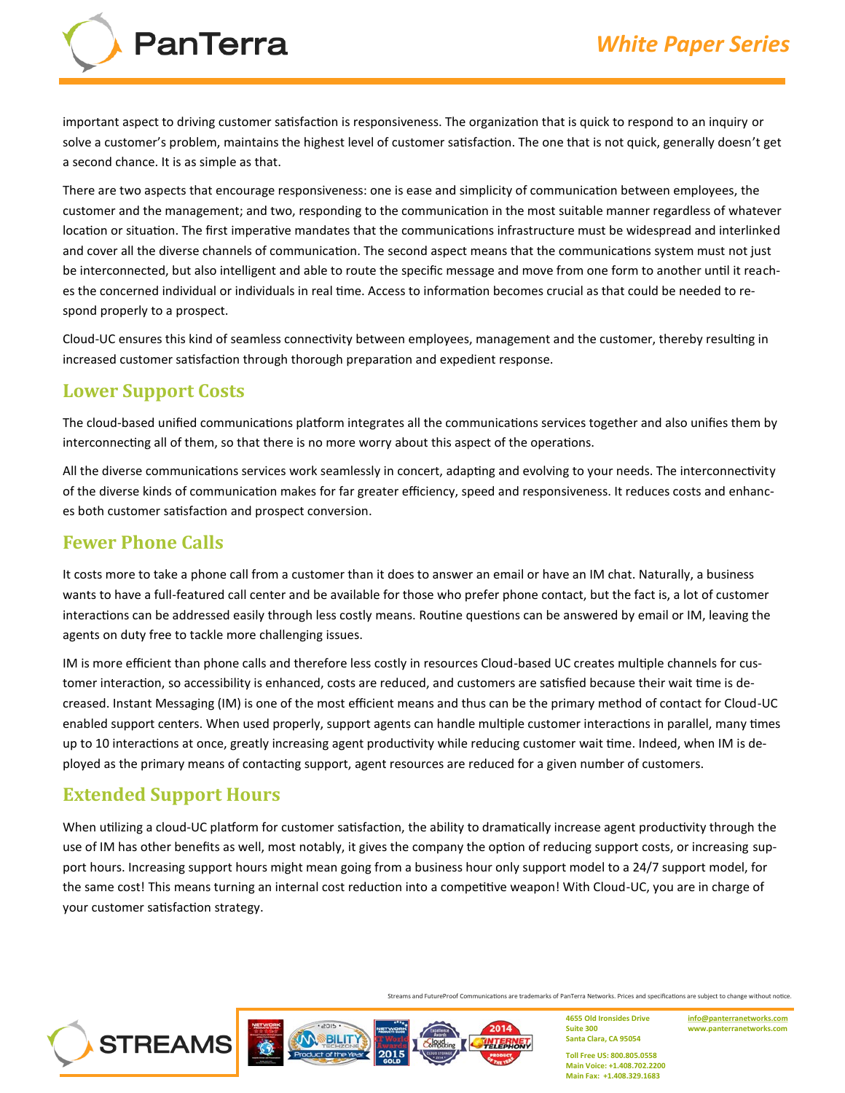

important aspect to driving customer satisfaction is responsiveness. The organization that is quick to respond to an inquiry or solve a customer's problem, maintains the highest level of customer satisfaction. The one that is not quick, generally doesn't get a second chance. It is as simple as that.

There are two aspects that encourage responsiveness: one is ease and simplicity of communication between employees, the customer and the management; and two, responding to the communication in the most suitable manner regardless of whatever location or situation. The first imperative mandates that the communications infrastructure must be widespread and interlinked and cover all the diverse channels of communication. The second aspect means that the communications system must not just be interconnected, but also intelligent and able to route the specific message and move from one form to another until it reaches the concerned individual or individuals in real time. Access to information becomes crucial as that could be needed to respond properly to a prospect.

Cloud‐UC ensures this kind of seamless connectivity between employees, management and the customer, thereby resulting in increased customer satisfaction through thorough preparation and expedient response.

# **Lower Support Costs**

The cloud‐based unified communications platform integrates all the communications services together and also unifies them by interconnecting all of them, so that there is no more worry about this aspect of the operations.

All the diverse communications services work seamlessly in concert, adapting and evolving to your needs. The interconnectivity of the diverse kinds of communication makes for far greater efficiency, speed and responsiveness. It reduces costs and enhances both customer satisfaction and prospect conversion.

## **Fewer Phone Calls**

It costs more to take a phone call from a customer than it does to answer an email or have an IM chat. Naturally, a business wants to have a full‐featured call center and be available for those who prefer phone contact, but the fact is, a lot of customer interactions can be addressed easily through less costly means. Routine questions can be answered by email or IM, leaving the agents on duty free to tackle more challenging issues.

IM is more efficient than phone calls and therefore less costly in resources Cloud‐based UC creates multiple channels for customer interaction, so accessibility is enhanced, costs are reduced, and customers are satisfied because their wait time is decreased. Instant Messaging (IM) is one of the most efficient means and thus can be the primary method of contact for Cloud‐UC enabled support centers. When used properly, support agents can handle multiple customer interactions in parallel, many times up to 10 interactions at once, greatly increasing agent productivity while reducing customer wait time. Indeed, when IM is deployed as the primary means of contacting support, agent resources are reduced for a given number of customers.

# **Extended Support Hours**

When utilizing a cloud-UC platform for customer satisfaction, the ability to dramatically increase agent productivity through the use of IM has other benefits as well, most notably, it gives the company the option of reducing support costs, or increasing support hours. Increasing support hours might mean going from a business hour only support model to a 24/7 support model, for the same cost! This means turning an internal cost reduction into a competitive weapon! With Cloud‐UC, you are in charge of your customer satisfaction strategy.





Streams and FutureProof Communications are trademarks of PanTerra Networks. Prices and specifications are subject to change without notice.

2014

**4655 Old Ironsides Drive Suite 300 Santa Clara, CA 95054**

**[info@panterranetworks.com](mailto:info@panterranetworks.com) www.panterranetworks.com**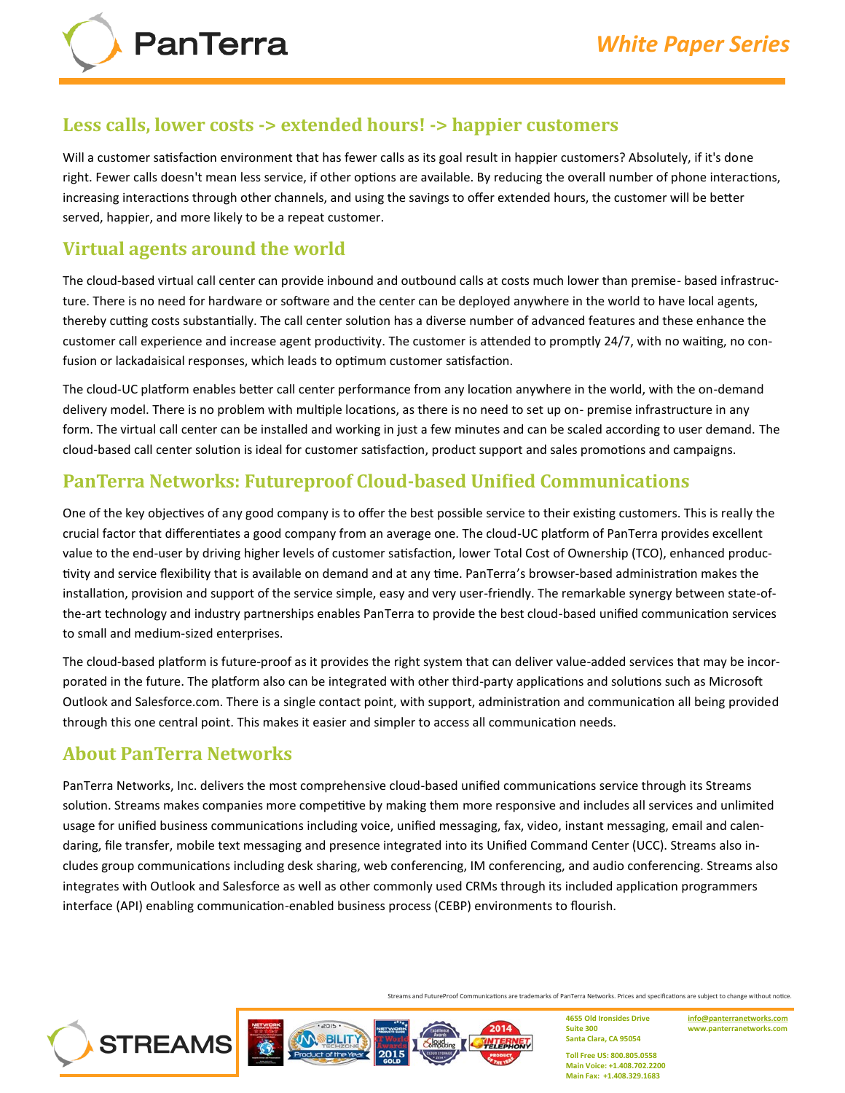#### **Less calls, lower costs ‐> extended hours! ‐> happier customers**

Will a customer satisfaction environment that has fewer calls as its goal result in happier customers? Absolutely, if it's done right. Fewer calls doesn't mean less service, if other options are available. By reducing the overall number of phone interactions, increasing interactions through other channels, and using the savings to offer extended hours, the customer will be better served, happier, and more likely to be a repeat customer.

## **Virtual agents around the world**

**PanTerra** 

The cloud‐based virtual call center can provide inbound and outbound calls at costs much lower than premise‐ based infrastructure. There is no need for hardware or software and the center can be deployed anywhere in the world to have local agents, thereby cutting costs substantially. The call center solution has a diverse number of advanced features and these enhance the customer call experience and increase agent productivity. The customer is attended to promptly 24/7, with no waiting, no confusion or lackadaisical responses, which leads to optimum customer satisfaction.

The cloud‐UC platform enables better call center performance from any location anywhere in the world, with the on‐demand delivery model. There is no problem with multiple locations, as there is no need to set up on‐ premise infrastructure in any form. The virtual call center can be installed and working in just a few minutes and can be scaled according to user demand. The cloud‐based call center solution is ideal for customer satisfaction, product support and sales promotions and campaigns.

#### **PanTerra Networks: Futureproof Cloud‐based Unified Communications**

One of the key objectives of any good company is to offer the best possible service to their existing customers. This is really the crucial factor that differentiates a good company from an average one. The cloud‐UC platform of PanTerra provides excellent value to the end‐user by driving higher levels of customer satisfaction, lower Total Cost of Ownership (TCO), enhanced productivity and service flexibility that is available on demand and at any time. PanTerra's browser‐based administration makes the installation, provision and support of the service simple, easy and very user-friendly. The remarkable synergy between state-ofthe‐art technology and industry partnerships enables PanTerra to provide the best cloud‐based unified communication services to small and medium‐sized enterprises.

The cloud‐based platform is future‐proof as it provides the right system that can deliver value‐added services that may be incorporated in the future. The platform also can be integrated with other third-party applications and solutions such as Microsoft Outlook and Salesforce.com. There is a single contact point, with support, administration and communication all being provided through this one central point. This makes it easier and simpler to access all communication needs.

#### **About PanTerra Networks**

PanTerra Networks, Inc. delivers the most comprehensive cloud-based unified communications service through its Streams solution. Streams makes companies more competitive by making them more responsive and includes all services and unlimited usage for unified business communications including voice, unified messaging, fax, video, instant messaging, email and calendaring, file transfer, mobile text messaging and presence integrated into its Unified Command Center (UCC). Streams also includes group communications including desk sharing, web conferencing, IM conferencing, and audio conferencing. Streams also integrates with Outlook and Salesforce as well as other commonly used CRMs through its included application programmers interface (API) enabling communication-enabled business process (CEBP) environments to flourish.



Streams and FutureProof Communications are trademarks of PanTerra Networks. Prices and specifications are subject to change without notice.

2014

**4655 Old Ironsides Drive Suite 300 Santa Clara, CA 95054**

**[info@panterranetworks.com](mailto:info@panterranetworks.com) www.panterranetworks.com**